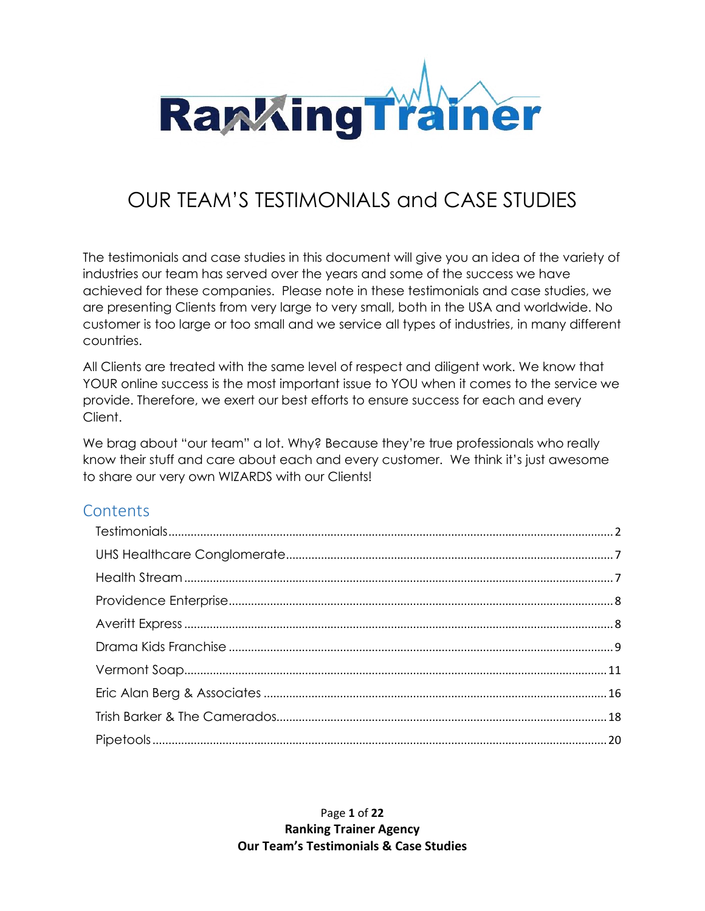

# OUR TEAM'S TESTIMONIALS and CASE STUDIES

The testimonials and case studies in this document will give you an idea of the variety of industries our team has served over the years and some of the success we have achieved for these companies. Please note in these testimonials and case studies, we are presenting Clients from very large to very small, both in the USA and worldwide. No customer is too large or too small and we service all types of industries, in many different countries.

All Clients are treated with the same level of respect and diligent work. We know that YOUR online success is the most important issue to YOU when it comes to the service we provide. Therefore, we exert our best efforts to ensure success for each and every Client.

We brag about "our team" a lot. Why? Because they're true professionals who really know their stuff and care about each and every customer. We think it's just awesome to share our very own WIZARDS with our Clients!

# **Contents**

Page **1** of **22 Ranking Trainer Agency Our Team's Testimonials & Case Studies**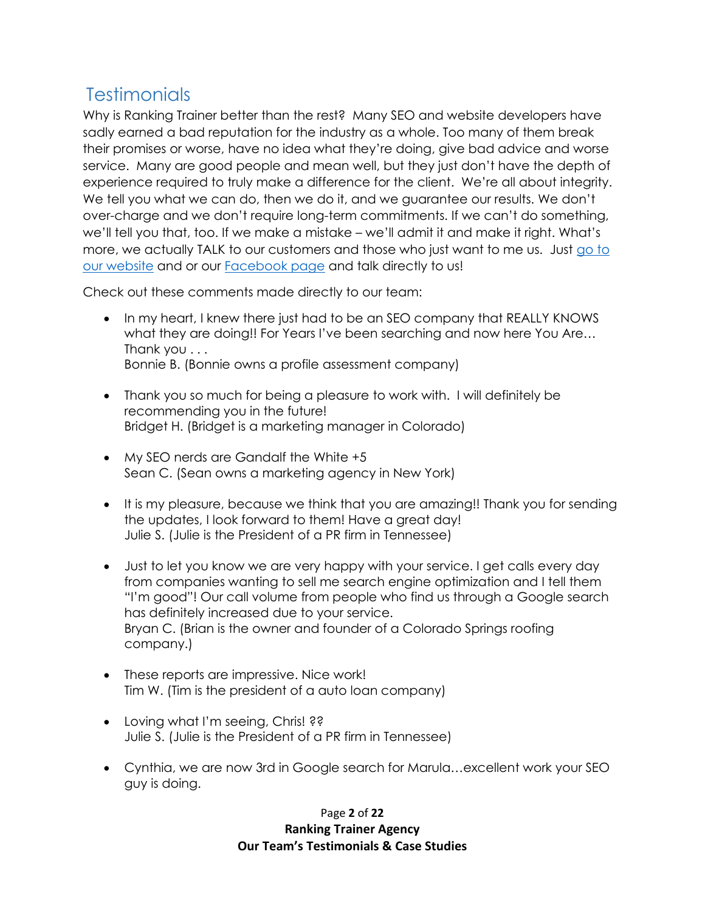# <span id="page-1-0"></span>**Testimonials**

Why is Ranking Trainer better than the rest? Many SEO and website developers have sadly earned a bad reputation for the industry as a whole. Too many of them break their promises or worse, have no idea what they're doing, give bad advice and worse service. Many are good people and mean well, but they just don't have the depth of experience required to truly make a difference for the client. We're all about integrity. We tell you what we can do, then we do it, and we guarantee our results. We don't over-charge and we don't require long-term commitments. If we can't do something, we'll tell you that, too. If we make a mistake – we'll admit it and make it right. What's more, we actually TALK to our customers and those who just want to me us. Just [go to](https://agency.rankingtrainer.com/)  [our website](https://agency.rankingtrainer.com/) and or our [Facebook page](https://facebook.com/rankingtrainer.agency) and talk directly to us!

Check out these comments made directly to our team:

- In my heart, I knew there just had to be an SEO company that REALLY KNOWS what they are doing!! For Years I've been searching and now here You Are… Thank you . . . Bonnie B. (Bonnie owns a profile assessment company)
- Thank you so much for being a pleasure to work with. I will definitely be recommending you in the future! Bridget H. (Bridget is a marketing manager in Colorado)
- My SEO nerds are Gandalf the White +5 Sean C. (Sean owns a marketing agency in New York)
- It is my pleasure, because we think that you are amazing!! Thank you for sending the updates, I look forward to them! Have a great day! Julie S. (Julie is the President of a PR firm in Tennessee)
- Just to let you know we are very happy with your service. I get calls every day from companies wanting to sell me search engine optimization and I tell them "I'm good"! Our call volume from people who find us through a Google search has definitely increased due to your service. Bryan C. (Brian is the owner and founder of a Colorado Springs roofing company.)
- These reports are impressive. Nice work! Tim W. (Tim is the president of a auto loan company)
- Loving what I'm seeing, Chris! ?? Julie S. (Julie is the President of a PR firm in Tennessee)
- Cynthia, we are now 3rd in Google search for Marula…excellent work your SEO guy is doing.

### Page **2** of **22 Ranking Trainer Agency Our Team's Testimonials & Case Studies**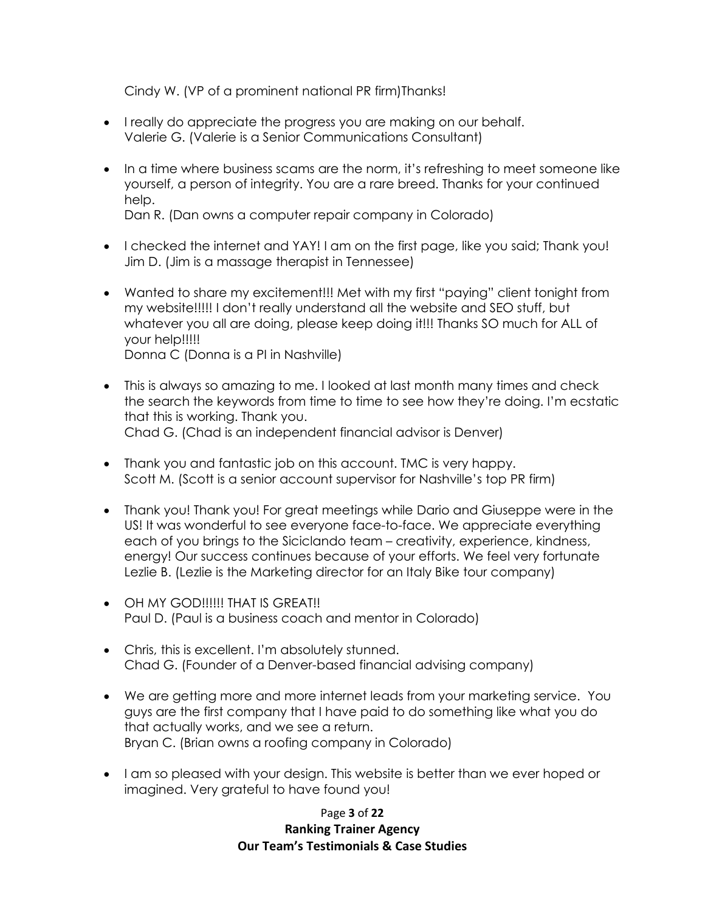Cindy W. (VP of a prominent national PR firm)Thanks!

- I really do appreciate the progress you are making on our behalf. Valerie G. (Valerie is a Senior Communications Consultant)
- In a time where business scams are the norm, it's refreshing to meet someone like yourself, a person of integrity. You are a rare breed. Thanks for your continued help.

Dan R. (Dan owns a computer repair company in Colorado)

- I checked the internet and YAY! I am on the first page, like you said; Thank you! Jim D. (Jim is a massage therapist in Tennessee)
- Wanted to share my excitement!!! Met with my first "paying" client tonight from my website!!!!! I don't really understand all the website and SEO stuff, but whatever you all are doing, please keep doing it!!! Thanks SO much for ALL of your help!!!!! Donna C (Donna is a PI in Nashville)
- This is always so amazing to me. I looked at last month many times and check the search the keywords from time to time to see how they're doing. I'm ecstatic that this is working. Thank you. Chad G. (Chad is an independent financial advisor is Denver)
- Thank you and fantastic job on this account. TMC is very happy. Scott M. (Scott is a senior account supervisor for Nashville's top PR firm)
- Thank you! Thank you! For great meetings while Dario and Giuseppe were in the US! It was wonderful to see everyone face-to-face. We appreciate everything each of you brings to the Siciclando team – creativity, experience, kindness, energy! Our success continues because of your efforts. We feel very fortunate Lezlie B. (Lezlie is the Marketing director for an Italy Bike tour company)
- OH MY GOD!!!!!! THAT IS GREAT!! Paul D. (Paul is a business coach and mentor in Colorado)
- Chris, this is excellent. I'm absolutely stunned. Chad G. (Founder of a Denver-based financial advising company)
- We are getting more and more internet leads from your marketing service. You guys are the first company that I have paid to do something like what you do that actually works, and we see a return. Bryan C. (Brian owns a roofing company in Colorado)
- I am so pleased with your design. This website is better than we ever hoped or imagined. Very grateful to have found you!

Page **3** of **22 Ranking Trainer Agency Our Team's Testimonials & Case Studies**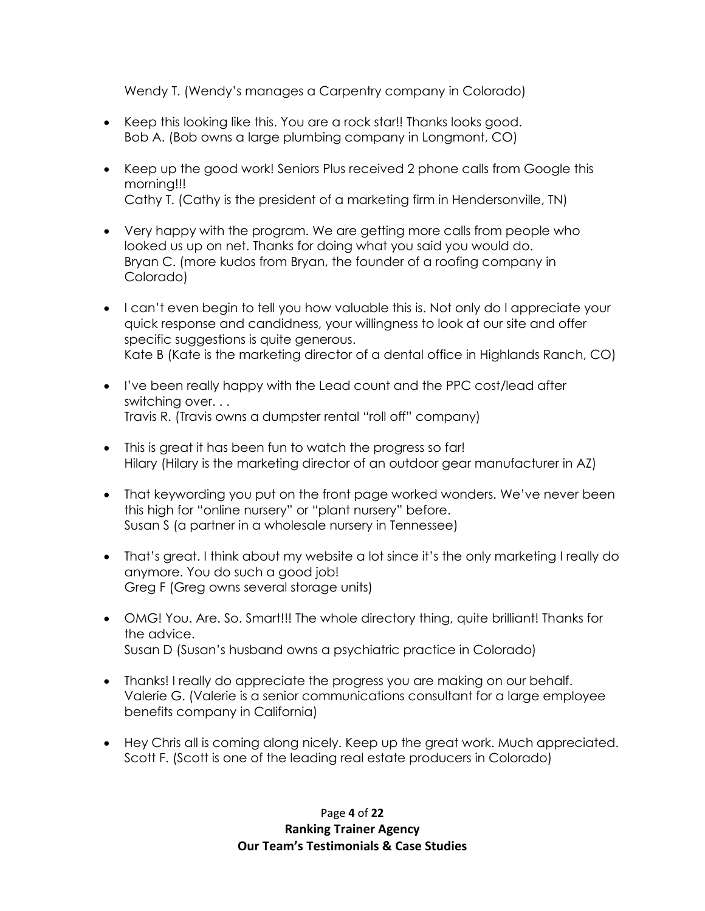Wendy T. (Wendy's manages a Carpentry company in Colorado)

- Keep this looking like this. You are a rock star!! Thanks looks good. Bob A. (Bob owns a large plumbing company in Longmont, CO)
- Keep up the good work! Seniors Plus received 2 phone calls from Google this morning!!! Cathy T. (Cathy is the president of a marketing firm in Hendersonville, TN)
- Very happy with the program. We are getting more calls from people who looked us up on net. Thanks for doing what you said you would do. Bryan C. (more kudos from Bryan, the founder of a roofing company in Colorado)
- I can't even begin to tell you how valuable this is. Not only do I appreciate your quick response and candidness, your willingness to look at our site and offer specific suggestions is quite generous. Kate B (Kate is the marketing director of a dental office in Highlands Ranch, CO)
- I've been really happy with the Lead count and the PPC cost/lead after switching over. . . Travis R. (Travis owns a dumpster rental "roll off" company)
- This is great it has been fun to watch the progress so far! Hilary (Hilary is the marketing director of an outdoor gear manufacturer in AZ)
- That keywording you put on the front page worked wonders. We've never been this high for "online nursery" or "plant nursery" before. Susan S (a partner in a wholesale nursery in Tennessee)
- That's great. I think about my website a lot since it's the only marketing I really do anymore. You do such a good job! Greg F (Greg owns several storage units)
- OMG! You. Are. So. Smart!!! The whole directory thing, quite brilliant! Thanks for the advice. Susan D (Susan's husband owns a psychiatric practice in Colorado)
- Thanks! I really do appreciate the progress you are making on our behalf. Valerie G. (Valerie is a senior communications consultant for a large employee benefits company in California)
- Hey Chris all is coming along nicely. Keep up the great work. Much appreciated. Scott F. (Scott is one of the leading real estate producers in Colorado)

Page **4** of **22 Ranking Trainer Agency Our Team's Testimonials & Case Studies**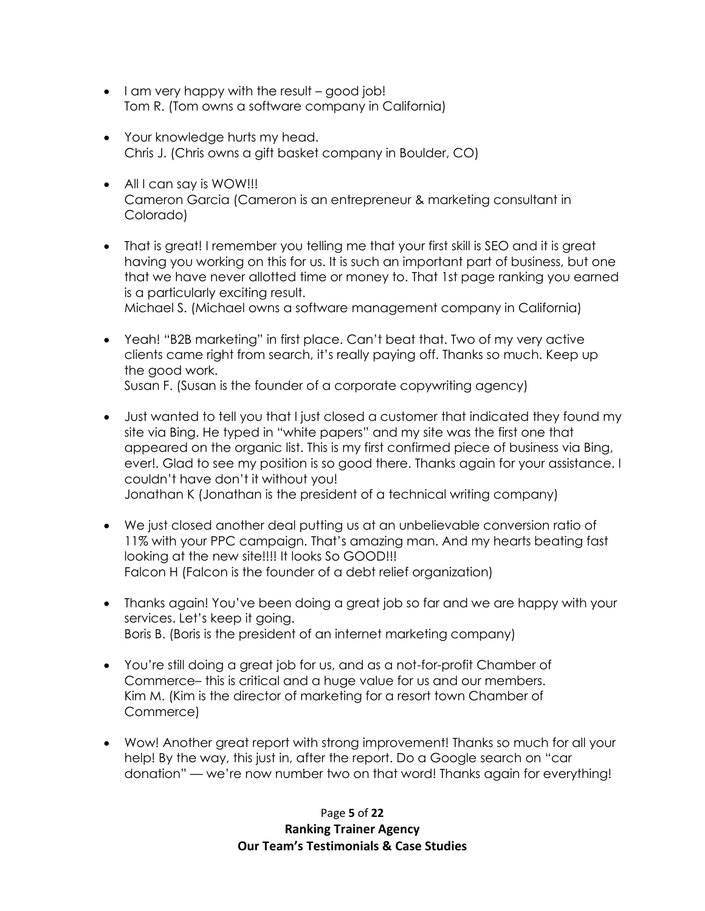- I am very happy with the result good job! Tom R. (Tom owns a software company in California)
- Your knowledge hurts my head. Chris J. (Chris owns a gift basket company in Boulder, CO)
- All I can say is WOW!!! Cameron Garcia (Cameron is an entrepreneur & marketing consultant in Colorado)
- That is great! I remember you telling me that your first skill is SEO and it is great having you working on this for us. It is such an important part of business, but one that we have never allotted time or money to. That 1st page ranking you earned is a particularly exciting result. Michael S. (Michael owns a software management company in California)
- Yeah! "B2B marketing" in first place. Can't beat that. Two of my very active clients came right from search, it's really paying off. Thanks so much. Keep up the good work. Susan F. (Susan is the founder of a corporate copywriting agency)
- Just wanted to tell you that I just closed a customer that indicated they found my site via Bing. He typed in "white papers" and my site was the first one that appeared on the organic list. This is my first confirmed piece of business via Bing, ever!. Glad to see my position is so good there. Thanks again for your assistance. I couldn't have don't it without you! Jonathan K (Jonathan is the president of a technical writing company)
- We just closed another deal putting us at an unbelievable conversion ratio of 11% with your PPC campaign. That's amazing man. And my hearts beating fast looking at the new site!!!! It looks So GOOD!!! Falcon H (Falcon is the founder of a debt relief organization)
- Thanks again! You've been doing a great job so far and we are happy with your services. Let's keep it going. Boris B. (Boris is the president of an internet marketing company)
- You're still doing a great job for us, and as a not-for-profit Chamber of Commerce– this is critical and a huge value for us and our members. Kim M. (Kim is the director of marketing for a resort town Chamber of Commerce)
- Wow! Another great report with strong improvement! Thanks so much for all your help! By the way, this just in, after the report. Do a Google search on "car donation" — we're now number two on that word! Thanks again for everything!

Page **5** of **22 Ranking Trainer Agency Our Team's Testimonials & Case Studies**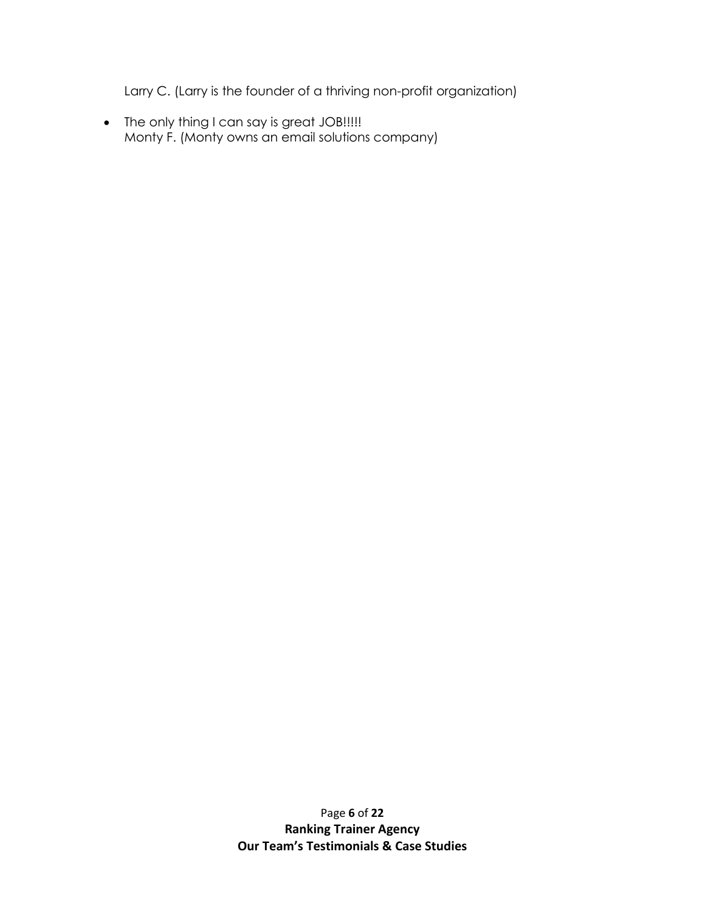Larry C. (Larry is the founder of a thriving non-profit organization)

• The only thing I can say is great JOB!!!!! Monty F. (Monty owns an email solutions company)

> Page **6** of **22 Ranking Trainer Agency Our Team's Testimonials & Case Studies**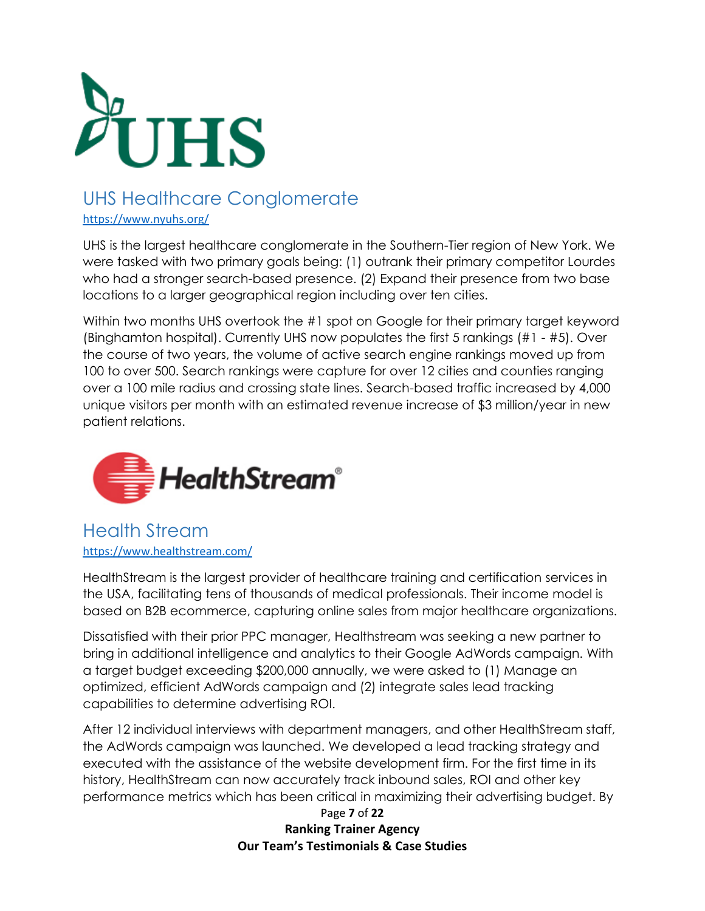

# <span id="page-6-0"></span>UHS Healthcare Conglomerate

<https://www.nyuhs.org/>

UHS is the largest healthcare conglomerate in the Southern-Tier region of New York. We were tasked with two primary goals being: (1) outrank their primary competitor Lourdes who had a stronger search-based presence. (2) Expand their presence from two base locations to a larger geographical region including over ten cities.

Within two months UHS overtook the #1 spot on Google for their primary target keyword (Binghamton hospital). Currently UHS now populates the first 5 rankings (#1 - #5). Over the course of two years, the volume of active search engine rankings moved up from 100 to over 500. Search rankings were capture for over 12 cities and counties ranging over a 100 mile radius and crossing state lines. Search-based traffic increased by 4,000 unique visitors per month with an estimated revenue increase of \$3 million/year in new patient relations.



# <span id="page-6-1"></span>Health Stream <https://www.healthstream.com/>

HealthStream is the largest provider of healthcare training and certification services in the USA, facilitating tens of thousands of medical professionals. Their income model is based on B2B ecommerce, capturing online sales from major healthcare organizations.

Dissatisfied with their prior PPC manager, Healthstream was seeking a new partner to bring in additional intelligence and analytics to their Google AdWords campaign. With a target budget exceeding \$200,000 annually, we were asked to (1) Manage an optimized, efficient AdWords campaign and (2) integrate sales lead tracking capabilities to determine advertising ROI.

After 12 individual interviews with department managers, and other HealthStream staff, the AdWords campaign was launched. We developed a lead tracking strategy and executed with the assistance of the website development firm. For the first time in its history, HealthStream can now accurately track inbound sales, ROI and other key performance metrics which has been critical in maximizing their advertising budget. By

> Page **7** of **22 Ranking Trainer Agency Our Team's Testimonials & Case Studies**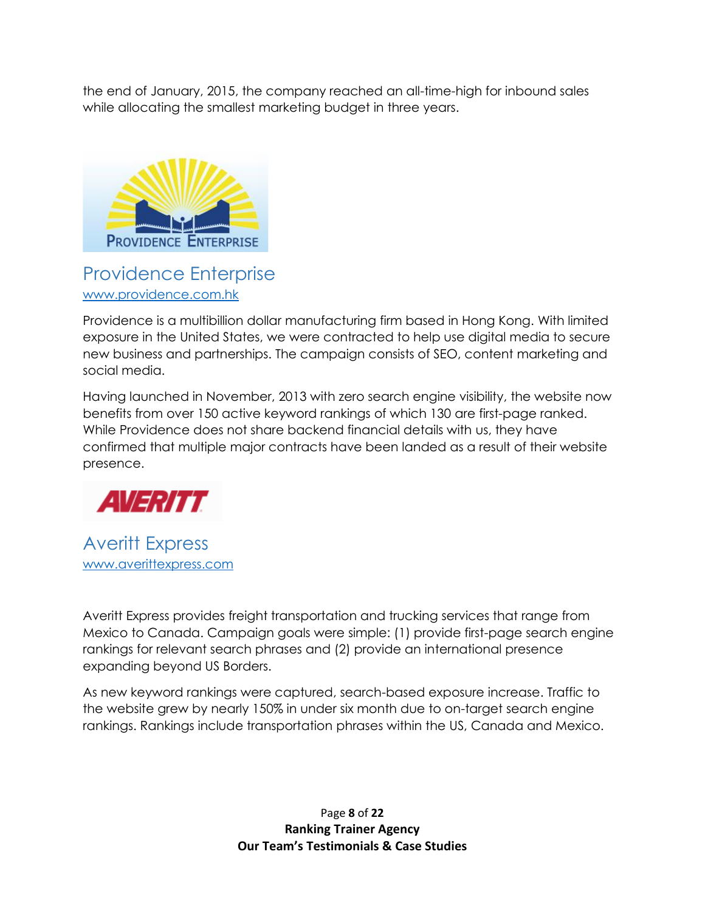the end of January, 2015, the company reached an all-time-high for inbound sales while allocating the smallest marketing budget in three years.



# <span id="page-7-0"></span>Providence Enterprise [www.providence.com.hk](http://www.providence.com.hk/)

Providence is a multibillion dollar manufacturing firm based in Hong Kong. With limited exposure in the United States, we were contracted to help use digital media to secure new business and partnerships. The campaign consists of SEO, content marketing and social media.

Having launched in November, 2013 with zero search engine visibility, the website now benefits from over 150 active keyword rankings of which 130 are first-page ranked. While Providence does not share backend financial details with us, they have confirmed that multiple major contracts have been landed as a result of their website presence.



<span id="page-7-1"></span>Averitt Express [www.averittexpress.com](http://www.averittexpress.com/)

Averitt Express provides freight transportation and trucking services that range from Mexico to Canada. Campaign goals were simple: (1) provide first-page search engine rankings for relevant search phrases and (2) provide an international presence expanding beyond US Borders.

As new keyword rankings were captured, search-based exposure increase. Traffic to the website grew by nearly 150% in under six month due to on-target search engine rankings. Rankings include transportation phrases within the US, Canada and Mexico.

> Page **8** of **22 Ranking Trainer Agency Our Team's Testimonials & Case Studies**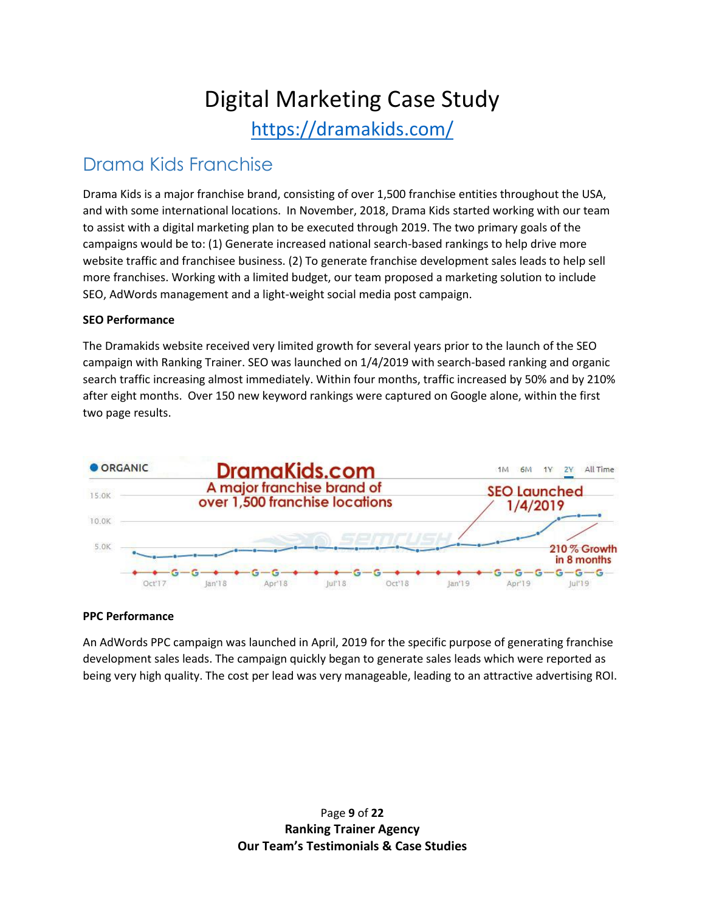# Digital Marketing Case Study

<https://dramakids.com/>

# <span id="page-8-0"></span>Drama Kids Franchise

Drama Kids is a major franchise brand, consisting of over 1,500 franchise entities throughout the USA, and with some international locations. In November, 2018, Drama Kids started working with our team to assist with a digital marketing plan to be executed through 2019. The two primary goals of the campaigns would be to: (1) Generate increased national search-based rankings to help drive more website traffic and franchisee business. (2) To generate franchise development sales leads to help sell more franchises. Working with a limited budget, our team proposed a marketing solution to include SEO, AdWords management and a light-weight social media post campaign.

#### **SEO Performance**

The Dramakids website received very limited growth for several years prior to the launch of the SEO campaign with Ranking Trainer. SEO was launched on 1/4/2019 with search-based ranking and organic search traffic increasing almost immediately. Within four months, traffic increased by 50% and by 210% after eight months. Over 150 new keyword rankings were captured on Google alone, within the first two page results.



#### **PPC Performance**

An AdWords PPC campaign was launched in April, 2019 for the specific purpose of generating franchise development sales leads. The campaign quickly began to generate sales leads which were reported as being very high quality. The cost per lead was very manageable, leading to an attractive advertising ROI.

> Page **9** of **22 Ranking Trainer Agency Our Team's Testimonials & Case Studies**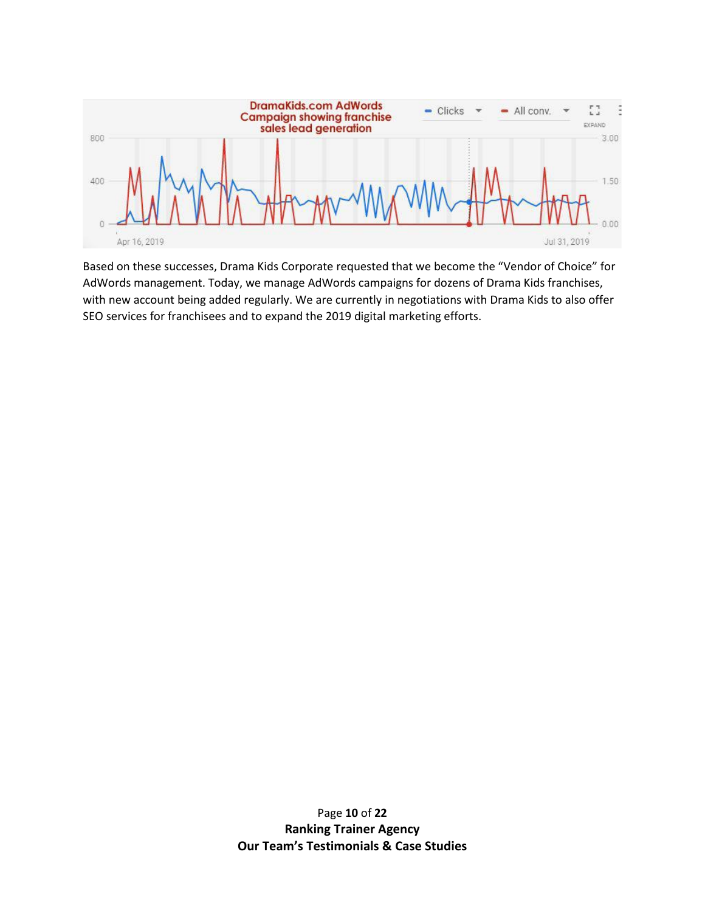

Based on these successes, Drama Kids Corporate requested that we become the "Vendor of Choice" for AdWords management. Today, we manage AdWords campaigns for dozens of Drama Kids franchises, with new account being added regularly. We are currently in negotiations with Drama Kids to also offer SEO services for franchisees and to expand the 2019 digital marketing efforts.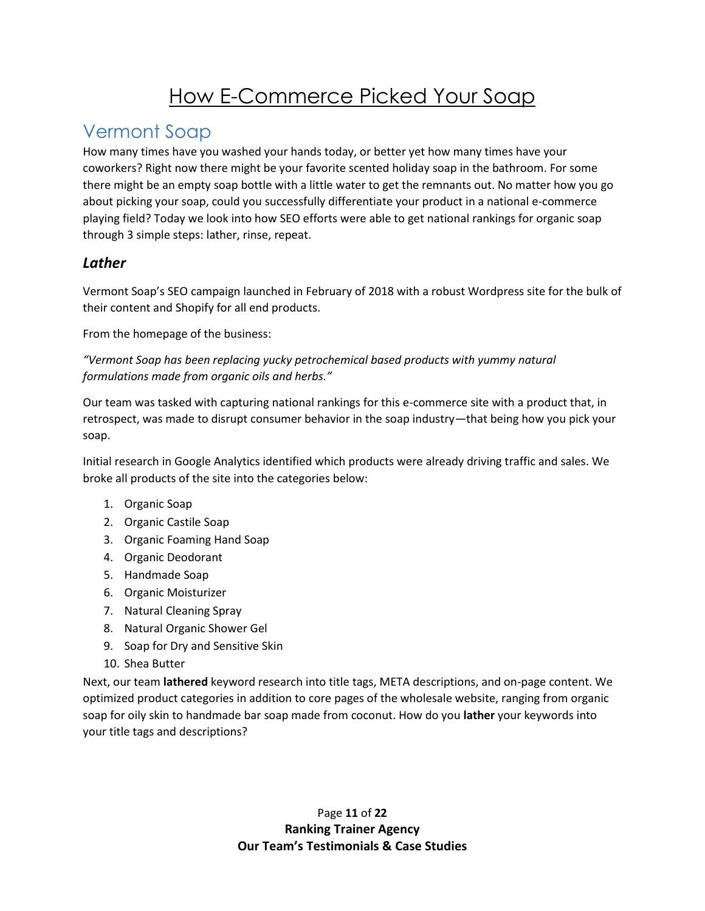# How E-Commerce Picked Your Soap

# <span id="page-10-0"></span>Vermont Soap

How many times have you washed your hands today, or better yet how many times have your coworkers? Right now there might be your favorite scented holiday soap in the bathroom. For some there might be an empty soap bottle with a little water to get the remnants out. No matter how you go about picking your soap, could you successfully differentiate your product in a national e-commerce playing field? Today we look into how SEO efforts were able to get national rankings for organic soap through 3 simple steps: lather, rinse, repeat.

## *Lather*

Vermont Soap's SEO campaign launched in February of 2018 with a robust Wordpress site for the bulk of their content and Shopify for all end products.

From the homepage of the business:

*"Vermont Soap has been replacing yucky petrochemical based products with yummy natural formulations made from organic oils and herbs."* 

Our team was tasked with capturing national rankings for this e-commerce site with a product that, in retrospect, was made to disrupt consumer behavior in the soap industry—that being how you pick your soap.

Initial research in Google Analytics identified which products were already driving traffic and sales. We broke all products of the site into the categories below:

- 1. Organic Soap
- 2. Organic Castile Soap
- 3. Organic Foaming Hand Soap
- 4. Organic Deodorant
- 5. Handmade Soap
- 6. Organic Moisturizer
- 7. Natural Cleaning Spray
- 8. Natural Organic Shower Gel
- 9. Soap for Dry and Sensitive Skin
- 10. Shea Butter

Next, our team **lathered** keyword research into title tags, META descriptions, and on-page content. We optimized product categories in addition to core pages of the wholesale website, ranging from organic soap for oily skin to handmade bar soap made from coconut. How do you **lather** your keywords into your title tags and descriptions?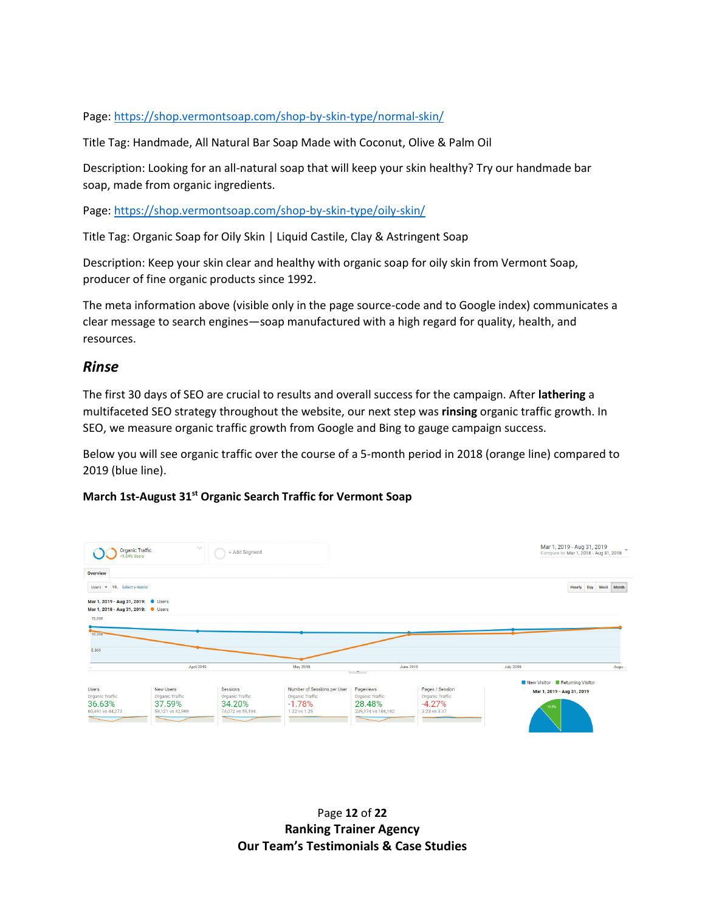Page:<https://shop.vermontsoap.com/shop-by-skin-type/normal-skin/>

Title Tag: Handmade, All Natural Bar Soap Made with Coconut, Olive & Palm Oil

Description: Looking for an all-natural soap that will keep your skin healthy? Try our handmade bar soap, made from organic ingredients.

Page:<https://shop.vermontsoap.com/shop-by-skin-type/oily-skin/>

Title Tag: Organic Soap for Oily Skin | Liquid Castile, Clay & Astringent Soap

Description: Keep your skin clear and healthy with organic soap for oily skin from Vermont Soap, producer of fine organic products since 1992.

The meta information above (visible only in the page source-code and to Google index) communicates a clear message to search engines—soap manufactured with a high regard for quality, health, and resources.

### *Rinse*

The first 30 days of SEO are crucial to results and overall success for the campaign. After **lathering** a multifaceted SEO strategy throughout the website, our next step was **rinsing** organic traffic growth. In SEO, we measure organic traffic growth from Google and Bing to gauge campaign success.

Below you will see organic traffic over the course of a 5-month period in 2018 (orange line) compared to 2019 (blue line).

#### **March 1st-August 31st Organic Search Traffic for Vermont Soap**



Page **12** of **22 Ranking Trainer Agency Our Team's Testimonials & Case Studies**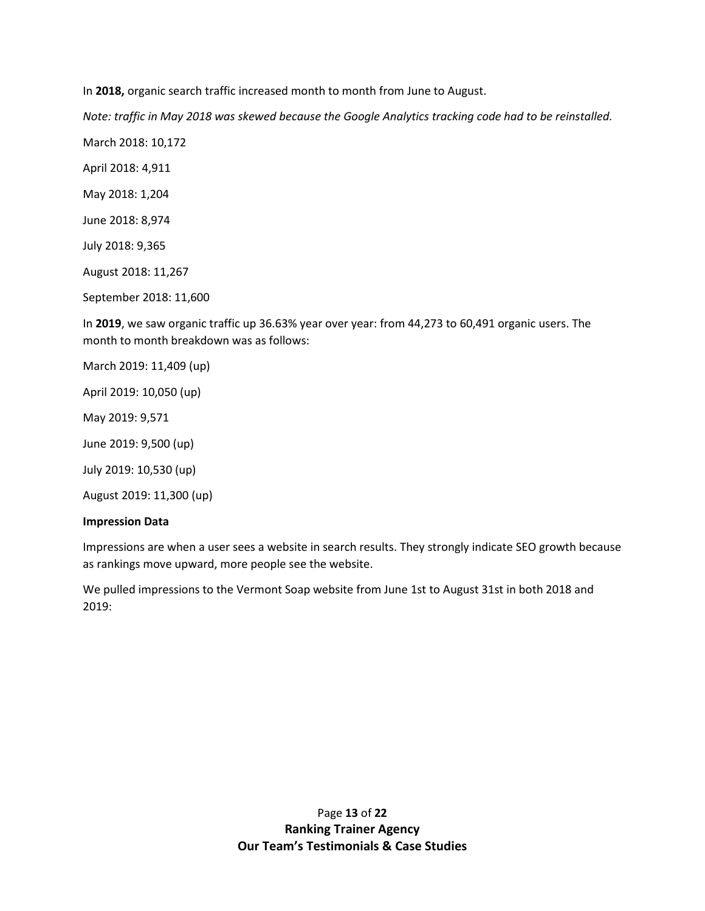In **2018,** organic search traffic increased month to month from June to August.

*Note: traffic in May 2018 was skewed because the Google Analytics tracking code had to be reinstalled.*

March 2018: 10,172

April 2018: 4,911

May 2018: 1,204

June 2018: 8,974

July 2018: 9,365

August 2018: 11,267

September 2018: 11,600

In **2019**, we saw organic traffic up 36.63% year over year: from 44,273 to 60,491 organic users. The month to month breakdown was as follows:

March 2019: 11,409 (up)

April 2019: 10,050 (up)

May 2019: 9,571

June 2019: 9,500 (up)

July 2019: 10,530 (up)

August 2019: 11,300 (up)

#### **Impression Data**

Impressions are when a user sees a website in search results. They strongly indicate SEO growth because as rankings move upward, more people see the website.

We pulled impressions to the Vermont Soap website from June 1st to August 31st in both 2018 and 2019: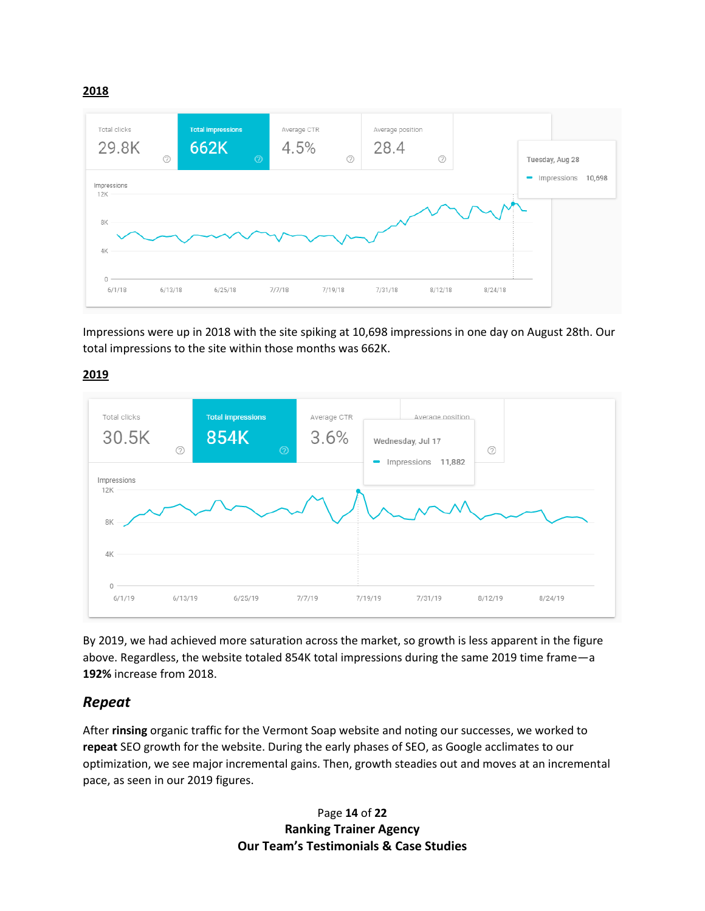**2018**



Impressions were up in 2018 with the site spiking at 10,698 impressions in one day on August 28th. Our total impressions to the site within those months was 662K.

**2019**



By 2019, we had achieved more saturation across the market, so growth is less apparent in the figure above. Regardless, the website totaled 854K total impressions during the same 2019 time frame—a **192%** increase from 2018.

## *Repeat*

After **rinsing** organic traffic for the Vermont Soap website and noting our successes, we worked to **repeat** SEO growth for the website. During the early phases of SEO, as Google acclimates to our optimization, we see major incremental gains. Then, growth steadies out and moves at an incremental pace, as seen in our 2019 figures.

> Page **14** of **22 Ranking Trainer Agency Our Team's Testimonials & Case Studies**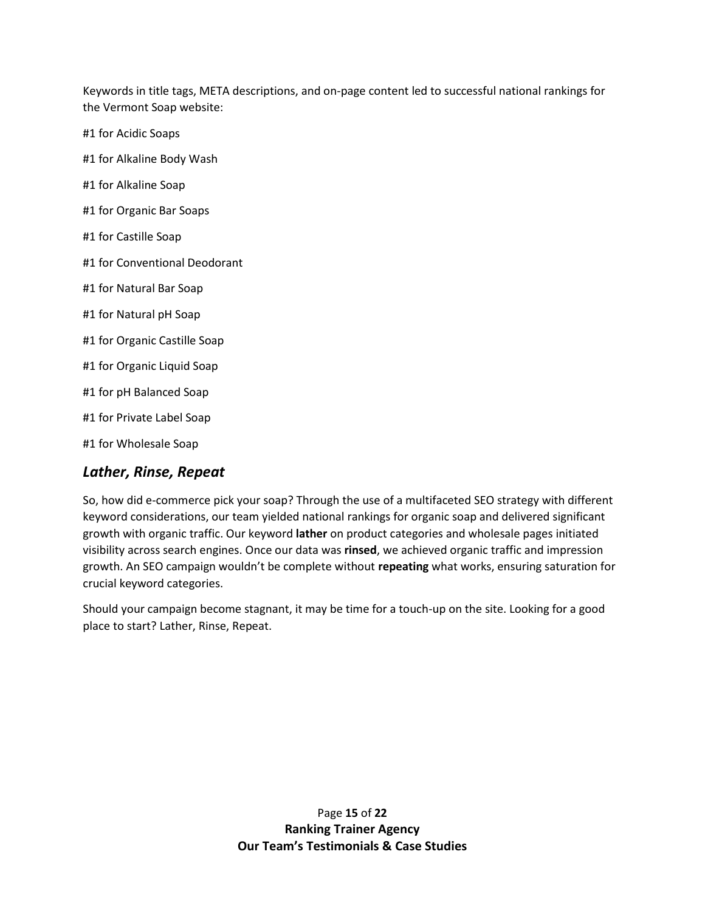Keywords in title tags, META descriptions, and on-page content led to successful national rankings for the Vermont Soap website:

#1 for Acidic Soaps

- #1 for Alkaline Body Wash
- #1 for Alkaline Soap
- #1 for Organic Bar Soaps
- #1 for Castille Soap
- #1 for Conventional Deodorant
- #1 for Natural Bar Soap
- #1 for Natural pH Soap
- #1 for Organic Castille Soap
- #1 for Organic Liquid Soap
- #1 for pH Balanced Soap
- #1 for Private Label Soap
- #1 for Wholesale Soap

## *Lather, Rinse, Repeat*

So, how did e-commerce pick your soap? Through the use of a multifaceted SEO strategy with different keyword considerations, our team yielded national rankings for organic soap and delivered significant growth with organic traffic. Our keyword **lather** on product categories and wholesale pages initiated visibility across search engines. Once our data was **rinsed**, we achieved organic traffic and impression growth. An SEO campaign wouldn't be complete without **repeating** what works, ensuring saturation for crucial keyword categories.

Should your campaign become stagnant, it may be time for a touch-up on the site. Looking for a good place to start? Lather, Rinse, Repeat.

> Page **15** of **22 Ranking Trainer Agency Our Team's Testimonials & Case Studies**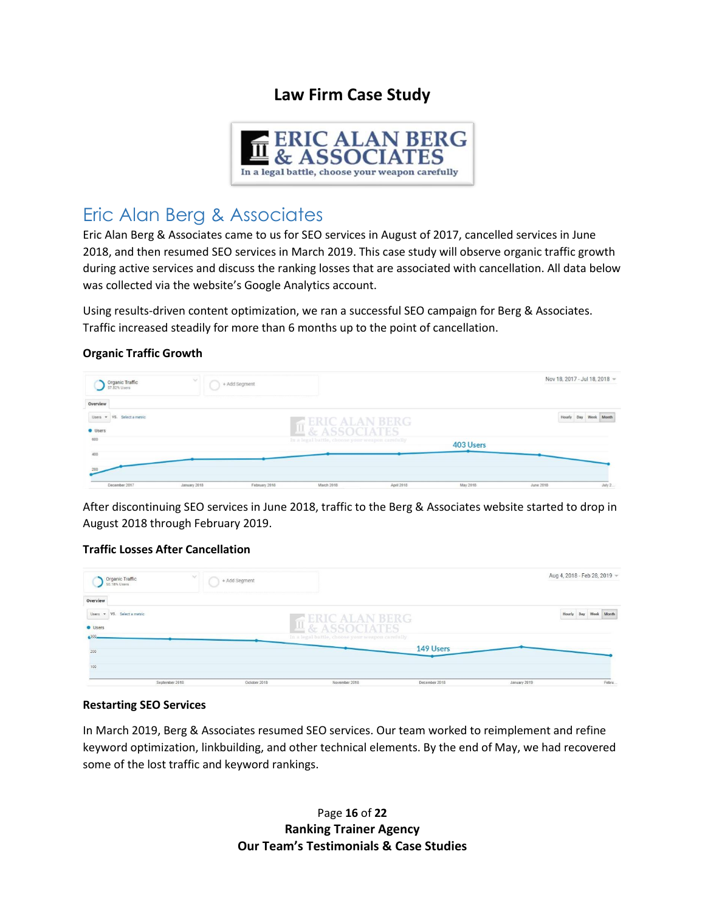# **Law Firm Case Study**



# <span id="page-15-0"></span>Eric Alan Berg & Associates

Eric Alan Berg & Associates came to us for SEO services in August of 2017, cancelled services in June 2018, and then resumed SEO services in March 2019. This case study will observe organic traffic growth during active services and discuss the ranking losses that are associated with cancellation. All data below was collected via the website's Google Analytics account.

Using results-driven content optimization, we ran a successful SEO campaign for Berg & Associates. Traffic increased steadily for more than 6 months up to the point of cancellation.

#### **Organic Traffic Growth**

| Organic Traffic<br>57.82% Users | $\sim$       | + Add Segment |                                                 |            |           |           | Nov 18, 2017 - Jul 18, 2018 - |
|---------------------------------|--------------|---------------|-------------------------------------------------|------------|-----------|-----------|-------------------------------|
| Overview                        |              |               |                                                 |            |           |           |                               |
| Users - VS. Select a metric     |              |               | <b>ERIC ALAN BERG</b>                           |            |           |           | Hourly Day Week Month         |
| <b>Users</b>                    |              |               | <b>世&amp; ASSOCIATES</b>                        |            |           |           |                               |
| 600                             |              |               | In a legal battle, choose your weapon carefully |            | 403 Users |           |                               |
| 400                             |              |               |                                                 |            |           |           |                               |
| 200                             |              |               |                                                 |            |           |           |                               |
| December 2017                   | January 2018 | February 2018 | March 2018                                      | April 2018 | May 2018  | June 2018 | <b>July 2</b>                 |

After discontinuing SEO services in June 2018, traffic to the Berg & Associates website started to drop in August 2018 through February 2019.

#### **Traffic Losses After Cancellation**

| Organic Traffic<br>50.18% Users | $\sim$         | + Add Segment |                                                 |               |              | Aug 4, 2018 - Feb 28, 2019 - |
|---------------------------------|----------------|---------------|-------------------------------------------------|---------------|--------------|------------------------------|
| Overview                        |                |               |                                                 |               |              |                              |
| Users - VS. Select a metric     |                |               | $\leq$ ERIC ALAN BERG                           |               |              | Hourly Day Week Month        |
| <b>O</b> Users                  |                |               | $\frac{1}{2}$ & ASSOCIATES                      |               |              |                              |
| 300.                            |                |               | In a legal battle, choose your weapon carefully |               |              |                              |
| 200                             |                |               |                                                 | 149 Users     |              |                              |
| 100                             |                |               |                                                 |               |              |                              |
|                                 | September 2018 | October 2018  | November 2018                                   | December 2018 | January 2019 | Febru.                       |

#### **Restarting SEO Services**

In March 2019, Berg & Associates resumed SEO services. Our team worked to reimplement and refine keyword optimization, linkbuilding, and other technical elements. By the end of May, we had recovered some of the lost traffic and keyword rankings.

> Page **16** of **22 Ranking Trainer Agency Our Team's Testimonials & Case Studies**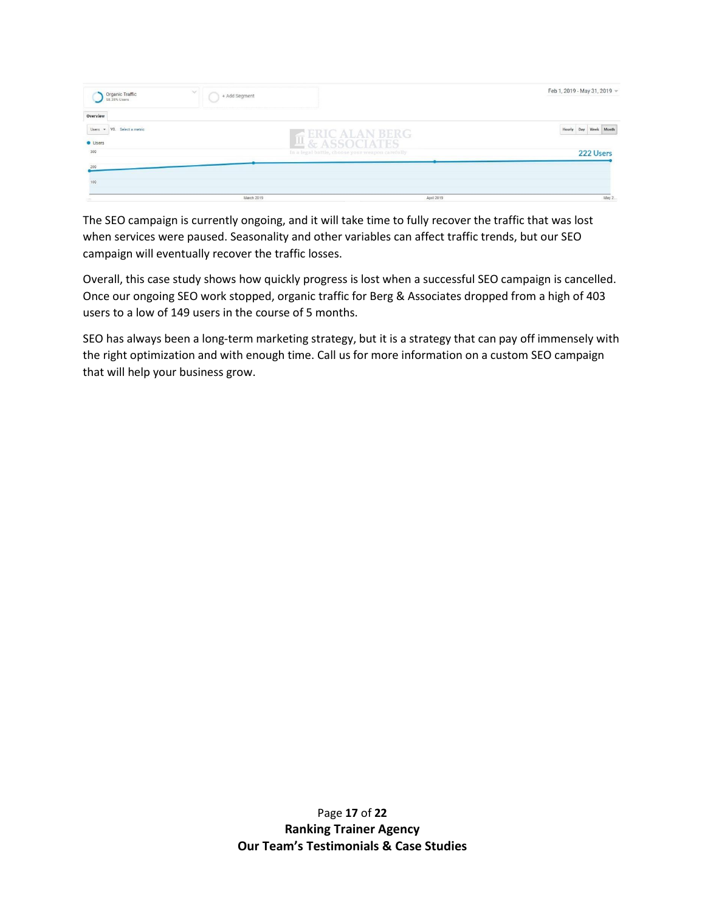| $\sim$<br>Organic Traffic<br>58.35% Users | + Add Segment                                   |            | Feb 1, 2019 - May 31, 2019 v |
|-------------------------------------------|-------------------------------------------------|------------|------------------------------|
| Overview                                  |                                                 |            |                              |
| Users - VS. Select a metric               |                                                 |            | Hourly Day Week Month        |
| <b>O</b> Users                            | ERIC ALAN BERG                                  |            |                              |
| 300                                       | In a legal battle, choose your weapon carefully |            | 222 Users                    |
| 200                                       |                                                 |            |                              |
| 100                                       |                                                 |            |                              |
|                                           | March 2019                                      | April 2019 | May 2                        |

The SEO campaign is currently ongoing, and it will take time to fully recover the traffic that was lost when services were paused. Seasonality and other variables can affect traffic trends, but our SEO campaign will eventually recover the traffic losses.

Overall, this case study shows how quickly progress is lost when a successful SEO campaign is cancelled. Once our ongoing SEO work stopped, organic traffic for Berg & Associates dropped from a high of 403 users to a low of 149 users in the course of 5 months.

SEO has always been a long-term marketing strategy, but it is a strategy that can pay off immensely with the right optimization and with enough time. Call us for more information on a custom SEO campaign that will help your business grow.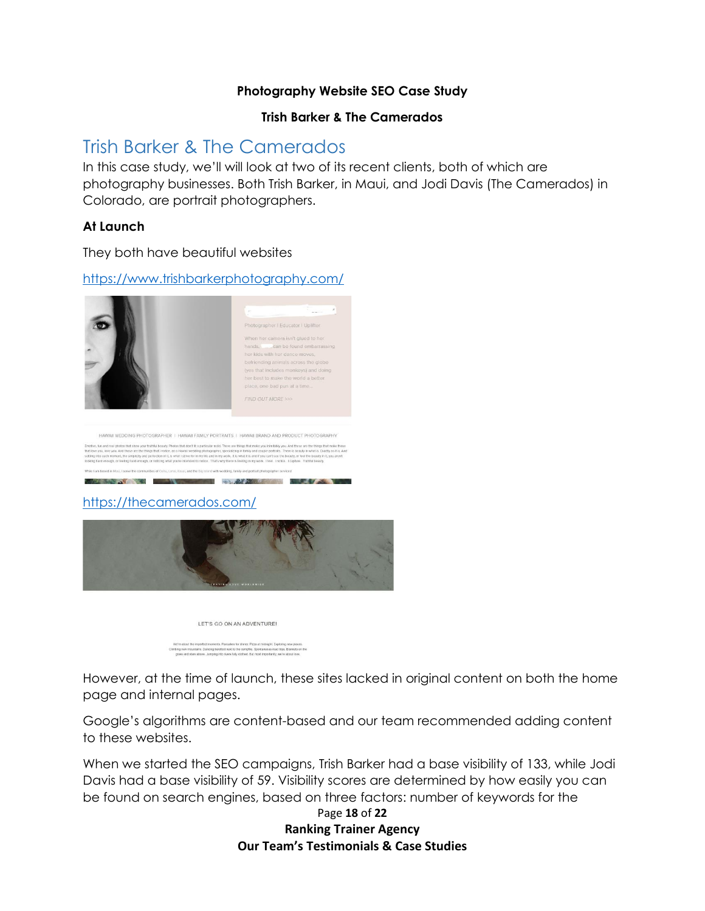### **Photography Website SEO Case Study**

### **Trish Barker & The Camerados**

# <span id="page-17-0"></span>Trish Barker & The Camerados

In this case study, we'll will look at two of its recent clients, both of which are photography businesses. Both Trish Barker, in Maui, and Jodi Davis (The Camerados) in Colorado, are portrait photographers.

### **At Launch**

They both have beautiful websites

### <https://www.trishbarkerphotography.com/>



#### <https://thecamerados.com/>



LET'S GO ON AN ADVENTURE! t the imperfect moments. Pancakes for dinner. Pizza at midnight. Exploring new places.<br>nountains. Dancing barefoot next to the campline. Spontaneous road trips. Blankets on the<br>stars above. Jumping into nivers fully clothe

However, at the time of launch, these sites lacked in original content on both the home page and internal pages.

Google's algorithms are content-based and our team recommended adding content to these websites.

When we started the SEO campaigns, Trish Barker had a base visibility of 133, while Jodi Davis had a base visibility of 59. Visibility scores are determined by how easily you can be found on search engines, based on three factors: number of keywords for the

Page **18** of **22 Ranking Trainer Agency Our Team's Testimonials & Case Studies**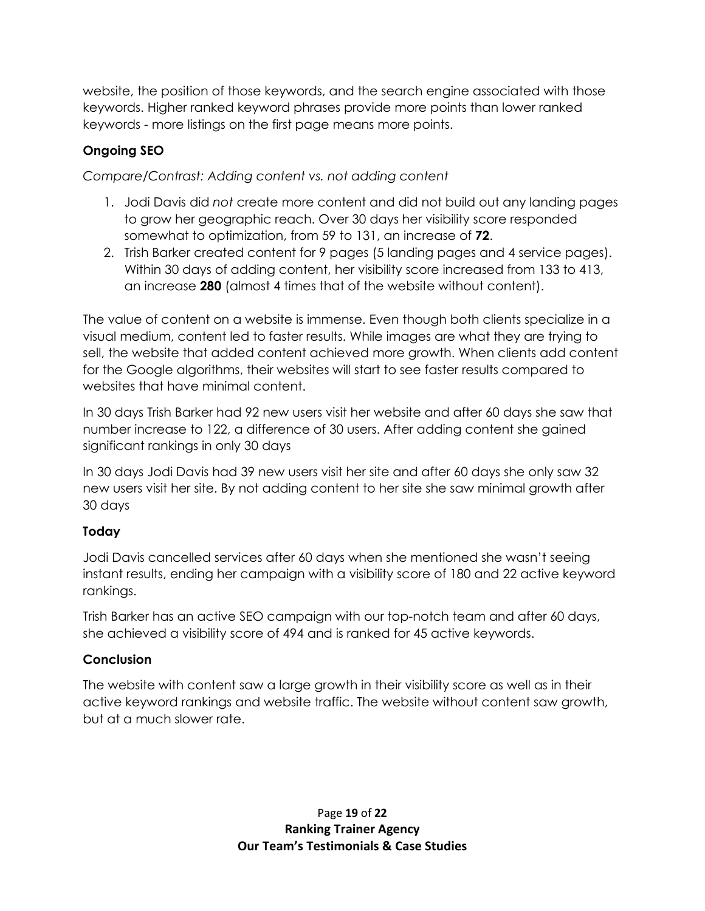website, the position of those keywords, and the search engine associated with those keywords. Higher ranked keyword phrases provide more points than lower ranked keywords - more listings on the first page means more points.

## **Ongoing SEO**

*Compare/Contrast: Adding content vs. not adding content*

- 1. Jodi Davis did *not* create more content and did not build out any landing pages to grow her geographic reach. Over 30 days her visibility score responded somewhat to optimization, from 59 to 131, an increase of **72**.
- 2. Trish Barker created content for 9 pages (5 landing pages and 4 service pages). Within 30 days of adding content, her visibility score increased from 133 to 413, an increase **280** (almost 4 times that of the website without content).

The value of content on a website is immense. Even though both clients specialize in a visual medium, content led to faster results. While images are what they are trying to sell, the website that added content achieved more growth. When clients add content for the Google algorithms, their websites will start to see faster results compared to websites that have minimal content.

In 30 days Trish Barker had 92 new users visit her website and after 60 days she saw that number increase to 122, a difference of 30 users. After adding content she gained significant rankings in only 30 days

In 30 days Jodi Davis had 39 new users visit her site and after 60 days she only saw 32 new users visit her site. By not adding content to her site she saw minimal growth after 30 days

## **Today**

Jodi Davis cancelled services after 60 days when she mentioned she wasn't seeing instant results, ending her campaign with a visibility score of 180 and 22 active keyword rankings.

Trish Barker has an active SEO campaign with our top-notch team and after 60 days, she achieved a visibility score of 494 and is ranked for 45 active keywords.

## **Conclusion**

The website with content saw a large growth in their visibility score as well as in their active keyword rankings and website traffic. The website without content saw growth, but at a much slower rate.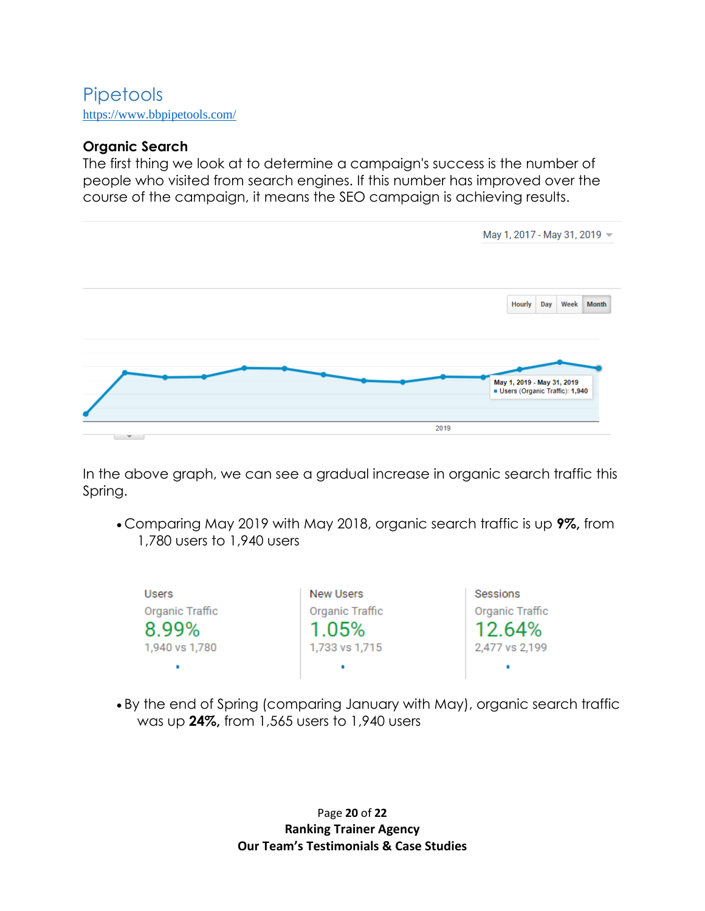# <span id="page-19-0"></span>Pipetools <https://www.bbpipetools.com/>

## **Organic Search**

The first thing we look at to determine a campaign's success is the number of people who visited from search engines. If this number has improved over the course of the campaign, it means the SEO campaign is achieving results.



In the above graph, we can see a gradual increase in organic search traffic this Spring.

• Comparing May 2019 with May 2018, organic search traffic is up **9%,** from 1,780 users to 1,940 users

| <b>Users</b>    | New Users       | Sessions        |
|-----------------|-----------------|-----------------|
| Organic Traffic | Organic Traffic | Organic Traffic |
| 8.99%           | 1.05%           | 12.64%          |
| 1,940 vs 1,780  | 1,733 vs 1,715  | 2,477 vs 2,199  |
|                 |                 |                 |

• By the end of Spring (comparing January with May), organic search traffic was up **24%,** from 1,565 users to 1,940 users

> Page **20** of **22 Ranking Trainer Agency Our Team's Testimonials & Case Studies**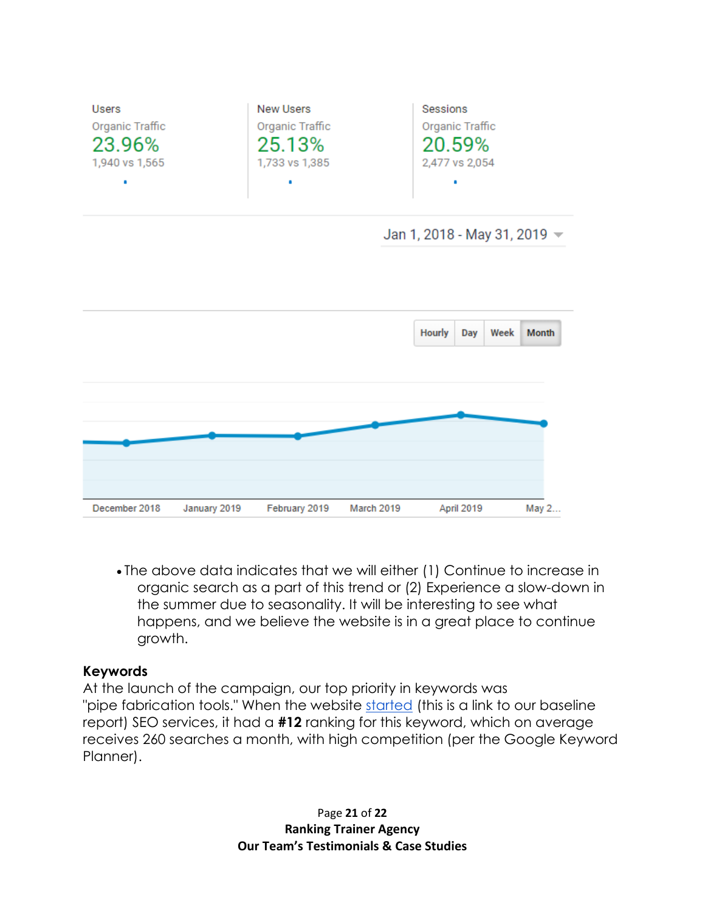

• The above data indicates that we will either (1) Continue to increase in organic search as a part of this trend or (2) Experience a slow-down in the summer due to seasonality. It will be interesting to see what happens, and we believe the website is in a great place to continue growth.

## **Keywords**

At the launch of the campaign, our top priority in keywords was "pipe fabrication tools." When the website [started](http://r.sharpnetsolutions.com/BBPipeTools/baseline/engine.htm) (this is a link to our baseline report) SEO services, it had a **#12** ranking for this keyword, which on average receives 260 searches a month, with high competition (per the Google Keyword Planner).

> Page **21** of **22 Ranking Trainer Agency Our Team's Testimonials & Case Studies**